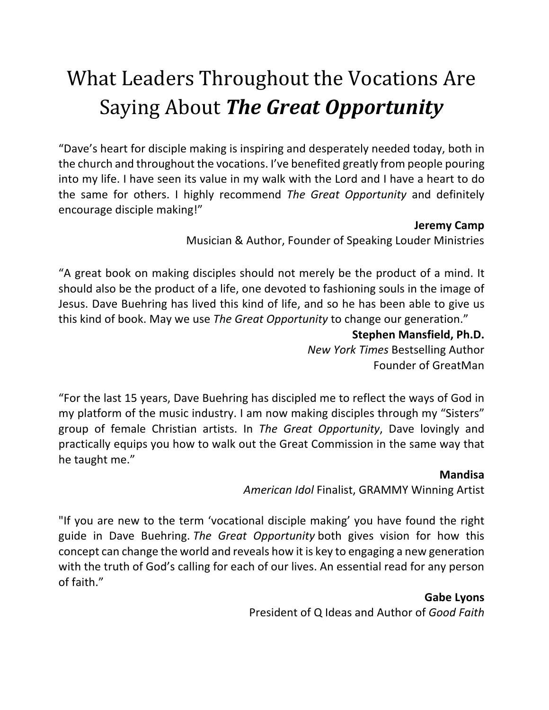# What Leaders Throughout the Vocations Are Saying About *The Great Opportunity*

"Dave's heart for disciple making is inspiring and desperately needed today, both in the church and throughout the vocations. I've benefited greatly from people pouring into my life. I have seen its value in my walk with the Lord and I have a heart to do the same for others. I highly recommend *The Great Opportunity* and definitely encourage disciple making!"

## **Jeremy Camp**

Musician & Author, Founder of Speaking Louder Ministries

"A great book on making disciples should not merely be the product of a mind. It should also be the product of a life, one devoted to fashioning souls in the image of Jesus. Dave Buehring has lived this kind of life, and so he has been able to give us this kind of book. May we use *The Great Opportunity* to change our generation."

> **Stephen Mansfield, Ph.D.** *New York Times* Bestselling Author Founder of GreatMan

"For the last 15 years, Dave Buehring has discipled me to reflect the ways of God in my platform of the music industry. I am now making disciples through my "Sisters" group of female Christian artists. In *The Great Opportunity*, Dave lovingly and practically equips you how to walk out the Great Commission in the same way that he taught me."

#### **Mandisa**

*American Idol* Finalist, GRAMMY Winning Artist

"If you are new to the term 'vocational disciple making' you have found the right guide in Dave Buehring. *The Great Opportunity* both gives vision for how this concept can change the world and reveals how it is key to engaging a new generation with the truth of God's calling for each of our lives. An essential read for any person of faith."

# **Gabe Lyons**

President of Q Ideas and Author of *Good Faith*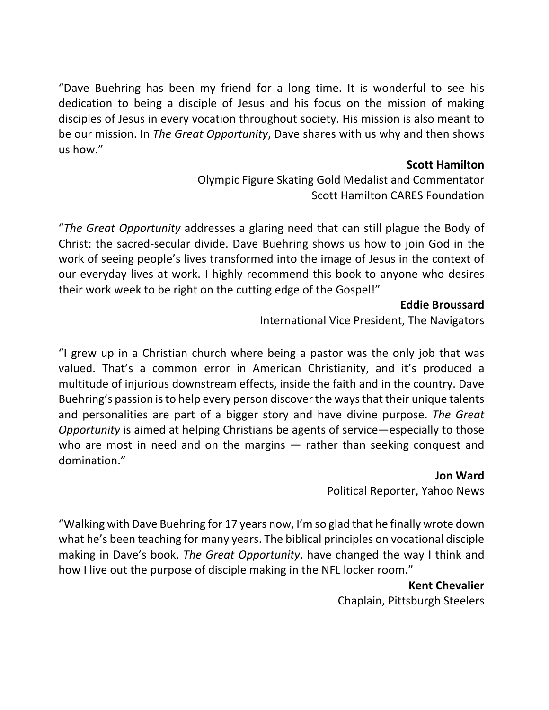"Dave Buehring has been my friend for a long time. It is wonderful to see his dedication to being a disciple of Jesus and his focus on the mission of making disciples of Jesus in every vocation throughout society. His mission is also meant to be our mission. In *The Great Opportunity*, Dave shares with us why and then shows us how."

## **Scott Hamilton**

Olympic Figure Skating Gold Medalist and Commentator Scott Hamilton CARES Foundation

"*The Great Opportunity* addresses a glaring need that can still plague the Body of Christ: the sacred-secular divide. Dave Buehring shows us how to join God in the work of seeing people's lives transformed into the image of Jesus in the context of our everyday lives at work. I highly recommend this book to anyone who desires their work week to be right on the cutting edge of the Gospel!"

## **Eddie Broussard**

International Vice President, The Navigators

"I grew up in a Christian church where being a pastor was the only job that was valued. That's a common error in American Christianity, and it's produced a multitude of injurious downstream effects, inside the faith and in the country. Dave Buehring's passion is to help every person discover the ways that their unique talents and personalities are part of a bigger story and have divine purpose. *The Great Opportunity* is aimed at helping Christians be agents of service—especially to those who are most in need and on the margins – rather than seeking conquest and domination."

#### **Jon Ward**

Political Reporter, Yahoo News

"Walking with Dave Buehring for 17 years now, I'm so glad that he finally wrote down what he's been teaching for many years. The biblical principles on vocational disciple making in Dave's book, *The Great Opportunity*, have changed the way I think and how I live out the purpose of disciple making in the NFL locker room."

> **Kent Chevalier** Chaplain, Pittsburgh Steelers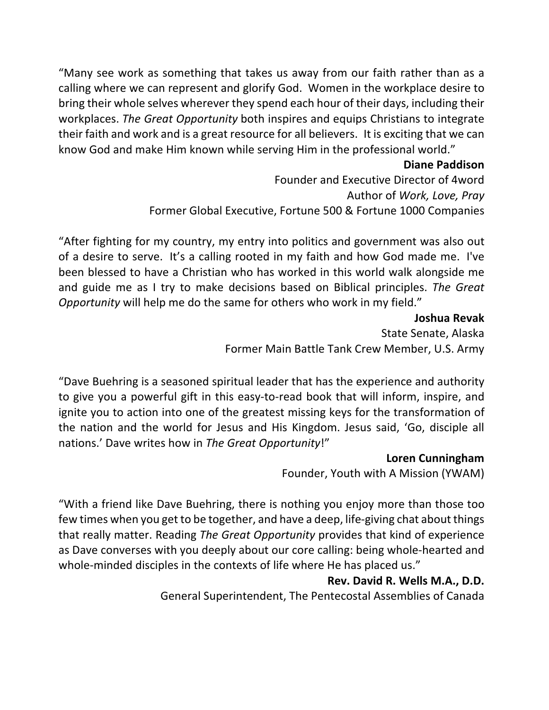"Many see work as something that takes us away from our faith rather than as a calling where we can represent and glorify God. Women in the workplace desire to bring their whole selves wherever they spend each hour of their days, including their workplaces. *The Great Opportunity* both inspires and equips Christians to integrate their faith and work and is a great resource for all believers. It is exciting that we can know God and make Him known while serving Him in the professional world."

## **Diane Paddison**

Founder and Executive Director of 4word Author of *Work, Love, Pray* Former Global Executive, Fortune 500 & Fortune 1000 Companies

"After fighting for my country, my entry into politics and government was also out of a desire to serve. It's a calling rooted in my faith and how God made me. I've been blessed to have a Christian who has worked in this world walk alongside me and guide me as I try to make decisions based on Biblical principles. *The Great Opportunity* will help me do the same for others who work in my field."

## **Joshua Revak**

State Senate, Alaska Former Main Battle Tank Crew Member, U.S. Army

"Dave Buehring is a seasoned spiritual leader that has the experience and authority to give you a powerful gift in this easy-to-read book that will inform, inspire, and ignite you to action into one of the greatest missing keys for the transformation of the nation and the world for Jesus and His Kingdom. Jesus said, 'Go, disciple all nations.' Dave writes how in *The Great Opportunity*!"

# **Loren Cunningham**

Founder, Youth with A Mission (YWAM)

"With a friend like Dave Buehring, there is nothing you enjoy more than those too few times when you get to be together, and have a deep, life-giving chat about things that really matter. Reading *The Great Opportunity* provides that kind of experience as Dave converses with you deeply about our core calling: being whole-hearted and whole-minded disciples in the contexts of life where He has placed us."

## **Rev. David R. Wells M.A., D.D.**

General Superintendent, The Pentecostal Assemblies of Canada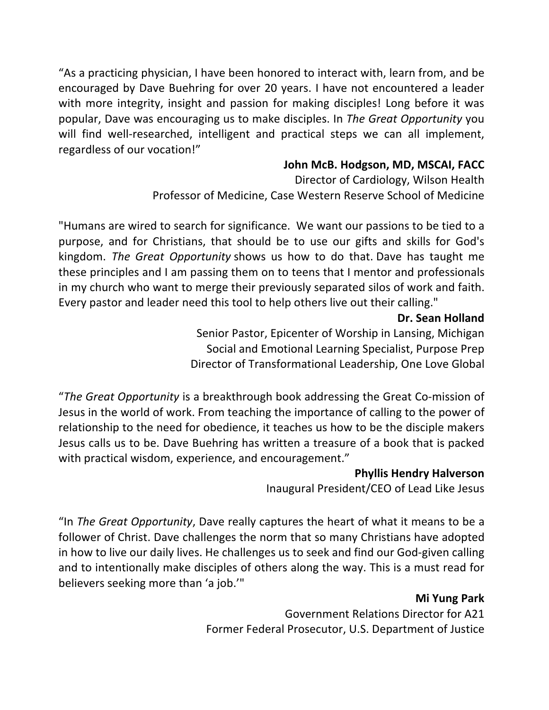"As a practicing physician, I have been honored to interact with, learn from, and be encouraged by Dave Buehring for over 20 years. I have not encountered a leader with more integrity, insight and passion for making disciples! Long before it was popular, Dave was encouraging us to make disciples. In *The Great Opportunity* you will find well-researched, intelligent and practical steps we can all implement, regardless of our vocation!"

## **John McB. Hodgson, MD, MSCAI, FACC**

Director of Cardiology, Wilson Health Professor of Medicine, Case Western Reserve School of Medicine

"Humans are wired to search for significance. We want our passions to be tied to a purpose, and for Christians, that should be to use our gifts and skills for God's kingdom. *The Great Opportunity* shows us how to do that. Dave has taught me these principles and I am passing them on to teens that I mentor and professionals in my church who want to merge their previously separated silos of work and faith. Every pastor and leader need this tool to help others live out their calling."

## **Dr. Sean Holland**

Senior Pastor, Epicenter of Worship in Lansing, Michigan Social and Emotional Learning Specialist, Purpose Prep Director of Transformational Leadership, One Love Global

"*The Great Opportunity* is a breakthrough book addressing the Great Co-mission of Jesus in the world of work. From teaching the importance of calling to the power of relationship to the need for obedience, it teaches us how to be the disciple makers Jesus calls us to be. Dave Buehring has written a treasure of a book that is packed with practical wisdom, experience, and encouragement."

#### **Phyllis Hendry Halverson**

Inaugural President/CEO of Lead Like Jesus

"In *The Great Opportunity*, Dave really captures the heart of what it means to be a follower of Christ. Dave challenges the norm that so many Christians have adopted in how to live our daily lives. He challenges us to seek and find our God-given calling and to intentionally make disciples of others along the way. This is a must read for believers seeking more than 'a job.'"

## **Mi Yung Park**

Government Relations Director for A21 Former Federal Prosecutor, U.S. Department of Justice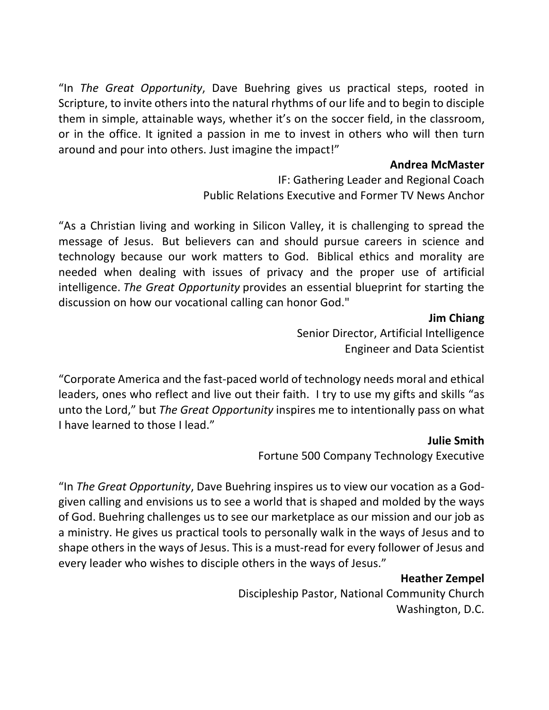"In *The Great Opportunity*, Dave Buehring gives us practical steps, rooted in Scripture, to invite others into the natural rhythms of our life and to begin to disciple them in simple, attainable ways, whether it's on the soccer field, in the classroom, or in the office. It ignited a passion in me to invest in others who will then turn around and pour into others. Just imagine the impact!"

## **Andrea McMaster**

IF: Gathering Leader and Regional Coach Public Relations Executive and Former TV News Anchor

"As a Christian living and working in Silicon Valley, it is challenging to spread the message of Jesus. But believers can and should pursue careers in science and technology because our work matters to God. Biblical ethics and morality are needed when dealing with issues of privacy and the proper use of artificial intelligence. *The Great Opportunity* provides an essential blueprint for starting the discussion on how our vocational calling can honor God."

## **Jim Chiang**

Senior Director, Artificial Intelligence Engineer and Data Scientist

"Corporate America and the fast-paced world of technology needs moral and ethical leaders, ones who reflect and live out their faith. I try to use my gifts and skills "as unto the Lord," but *The Great Opportunity* inspires me to intentionally pass on what I have learned to those I lead."

## **Julie Smith**

Fortune 500 Company Technology Executive

"In *The Great Opportunity*, Dave Buehring inspires us to view our vocation as a Godgiven calling and envisions us to see a world that is shaped and molded by the ways of God. Buehring challenges us to see our marketplace as our mission and our job as a ministry. He gives us practical tools to personally walk in the ways of Jesus and to shape others in the ways of Jesus. This is a must-read for every follower of Jesus and every leader who wishes to disciple others in the ways of Jesus."

## **Heather Zempel**

Discipleship Pastor, National Community Church Washington, D.C.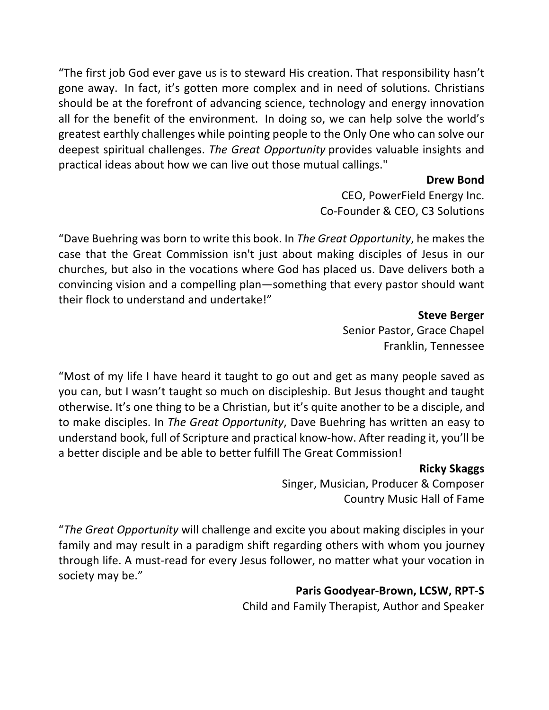"The first job God ever gave us is to steward His creation. That responsibility hasn't gone away. In fact, it's gotten more complex and in need of solutions. Christians should be at the forefront of advancing science, technology and energy innovation all for the benefit of the environment. In doing so, we can help solve the world's greatest earthly challenges while pointing people to the Only One who can solve our deepest spiritual challenges. *The Great Opportunity* provides valuable insights and practical ideas about how we can live out those mutual callings."

#### **Drew Bond**

CEO, PowerField Energy Inc. Co-Founder & CEO, C3 Solutions

"Dave Buehring was born to write this book. In *The Great Opportunity*, he makes the case that the Great Commission isn't just about making disciples of Jesus in our churches, but also in the vocations where God has placed us. Dave delivers both a convincing vision and a compelling plan—something that every pastor should want their flock to understand and undertake!"

## **Steve Berger**

Senior Pastor, Grace Chapel Franklin, Tennessee

"Most of my life I have heard it taught to go out and get as many people saved as you can, but I wasn't taught so much on discipleship. But Jesus thought and taught otherwise. It's one thing to be a Christian, but it's quite another to be a disciple, and to make disciples. In *The Great Opportunity*, Dave Buehring has written an easy to understand book, full of Scripture and practical know-how. After reading it, you'll be a better disciple and be able to better fulfill The Great Commission!

#### **Ricky Skaggs**

Singer, Musician, Producer & Composer Country Music Hall of Fame

"*The Great Opportunity* will challenge and excite you about making disciples in your family and may result in a paradigm shift regarding others with whom you journey through life. A must-read for every Jesus follower, no matter what your vocation in society may be."

#### **Paris Goodyear-Brown, LCSW, RPT-S**

Child and Family Therapist, Author and Speaker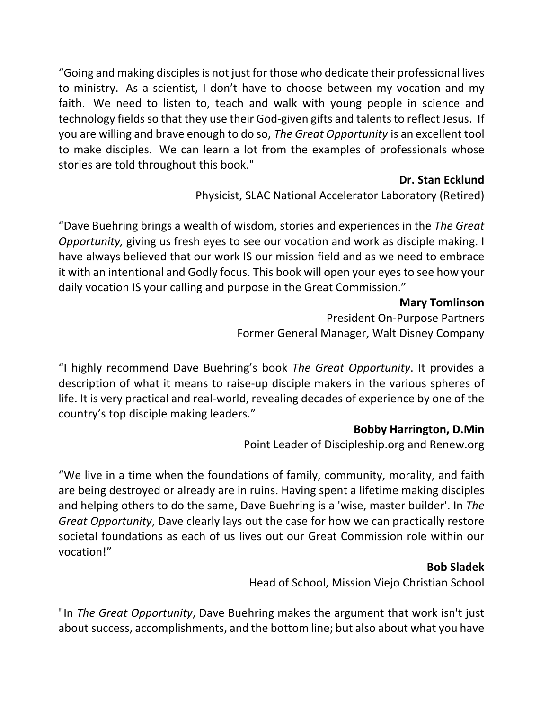"Going and making disciples is not just for those who dedicate their professional lives to ministry. As a scientist, I don't have to choose between my vocation and my faith. We need to listen to, teach and walk with young people in science and technology fields so that they use their God-given gifts and talents to reflect Jesus. If you are willing and brave enough to do so, *The Great Opportunity* is an excellent tool to make disciples. We can learn a lot from the examples of professionals whose stories are told throughout this book."

## **Dr. Stan Ecklund**

Physicist, SLAC National Accelerator Laboratory (Retired)

"Dave Buehring brings a wealth of wisdom, stories and experiences in the *The Great Opportunity,* giving us fresh eyes to see our vocation and work as disciple making. I have always believed that our work IS our mission field and as we need to embrace it with an intentional and Godly focus. This book will open your eyes to see how your daily vocation IS your calling and purpose in the Great Commission."

#### **Mary Tomlinson**

President On-Purpose Partners Former General Manager, Walt Disney Company

"I highly recommend Dave Buehring's book *The Great Opportunity*. It provides a description of what it means to raise-up disciple makers in the various spheres of life. It is very practical and real-world, revealing decades of experience by one of the country's top disciple making leaders."

## **Bobby Harrington, D.Min**

Point Leader of Discipleship.org and Renew.org

"We live in a time when the foundations of family, community, morality, and faith are being destroyed or already are in ruins. Having spent a lifetime making disciples and helping others to do the same, Dave Buehring is a 'wise, master builder'. In *The Great Opportunity*, Dave clearly lays out the case for how we can practically restore societal foundations as each of us lives out our Great Commission role within our vocation!"

#### **Bob Sladek**

Head of School, Mission Viejo Christian School

"In *The Great Opportunity*, Dave Buehring makes the argument that work isn't just about success, accomplishments, and the bottom line; but also about what you have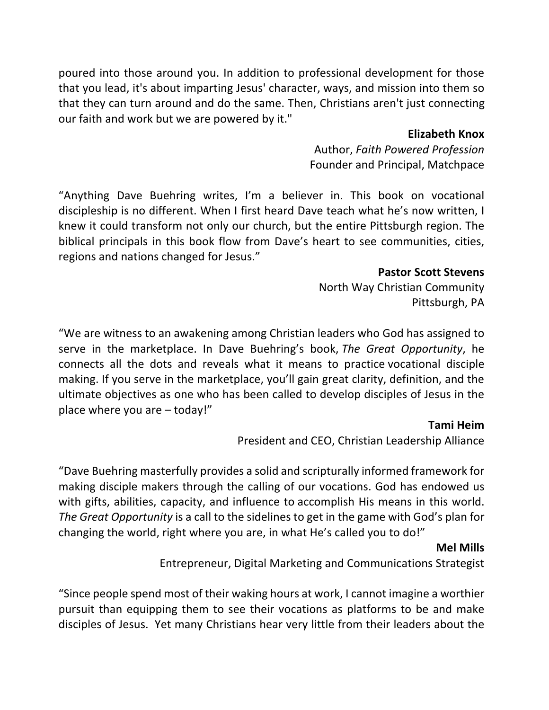poured into those around you. In addition to professional development for those that you lead, it's about imparting Jesus' character, ways, and mission into them so that they can turn around and do the same. Then, Christians aren't just connecting our faith and work but we are powered by it."

## **Elizabeth Knox**

Author, *Faith Powered Profession* Founder and Principal, Matchpace

"Anything Dave Buehring writes, I'm a believer in. This book on vocational discipleship is no different. When I first heard Dave teach what he's now written, I knew it could transform not only our church, but the entire Pittsburgh region. The biblical principals in this book flow from Dave's heart to see communities, cities, regions and nations changed for Jesus."

## **Pastor Scott Stevens**

North Way Christian Community Pittsburgh, PA

"We are witness to an awakening among Christian leaders who God has assigned to serve in the marketplace. In Dave Buehring's book, *The Great Opportunity*, he connects all the dots and reveals what it means to practice vocational disciple making. If you serve in the marketplace, you'll gain great clarity, definition, and the ultimate objectives as one who has been called to develop disciples of Jesus in the place where you are – today!"

## **Tami Heim**

President and CEO, Christian Leadership Alliance

"Dave Buehring masterfully provides a solid and scripturally informed framework for making disciple makers through the calling of our vocations. God has endowed us with gifts, abilities, capacity, and influence to accomplish His means in this world. *The Great Opportunity* is a call to the sidelines to get in the game with God's plan for changing the world, right where you are, in what He's called you to do!"

#### **Mel Mills**

Entrepreneur, Digital Marketing and Communications Strategist

"Since people spend most of their waking hours at work, I cannot imagine a worthier pursuit than equipping them to see their vocations as platforms to be and make disciples of Jesus. Yet many Christians hear very little from their leaders about the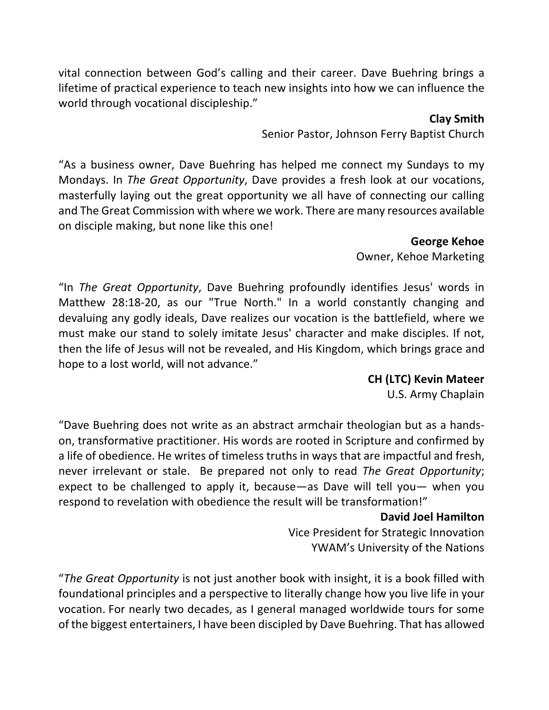vital connection between God's calling and their career. Dave Buehring brings a lifetime of practical experience to teach new insights into how we can influence the world through vocational discipleship."

**Clay Smith**

Senior Pastor, Johnson Ferry Baptist Church

"As a business owner, Dave Buehring has helped me connect my Sundays to my Mondays. In *The Great Opportunity*, Dave provides a fresh look at our vocations, masterfully laying out the great opportunity we all have of connecting our calling and The Great Commission with where we work. There are many resources available on disciple making, but none like this one!

**George Kehoe**

Owner, Kehoe Marketing

"In *The Great Opportunity*, Dave Buehring profoundly identifies Jesus' words in Matthew 28:18-20, as our "True North." In a world constantly changing and devaluing any godly ideals, Dave realizes our vocation is the battlefield, where we must make our stand to solely imitate Jesus' character and make disciples. If not, then the life of Jesus will not be revealed, and His Kingdom, which brings grace and hope to a lost world, will not advance."

## **CH (LTC) Kevin Mateer**

U.S. Army Chaplain

"Dave Buehring does not write as an abstract armchair theologian but as a handson, transformative practitioner. His words are rooted in Scripture and confirmed by a life of obedience. He writes of timeless truths in ways that are impactful and fresh, never irrelevant or stale. Be prepared not only to read *The Great Opportunity*; expect to be challenged to apply it, because—as Dave will tell you— when you respond to revelation with obedience the result will be transformation!"

#### **David Joel Hamilton**

Vice President for Strategic Innovation YWAM's University of the Nations

"*The Great Opportunity* is not just another book with insight, it is a book filled with foundational principles and a perspective to literally change how you live life in your vocation. For nearly two decades, as I general managed worldwide tours for some of the biggest entertainers, I have been discipled by Dave Buehring. That has allowed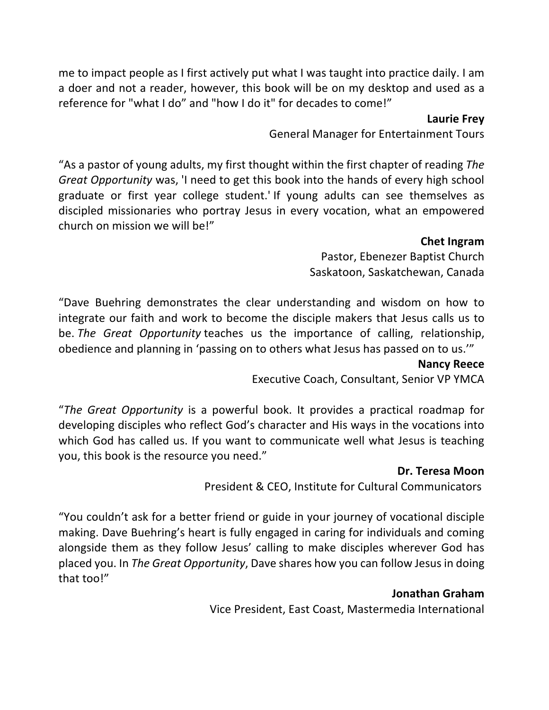me to impact people as I first actively put what I was taught into practice daily. I am a doer and not a reader, however, this book will be on my desktop and used as a reference for "what I do" and "how I do it" for decades to come!"

#### **Laurie Frey**

General Manager for Entertainment Tours

"As a pastor of young adults, my first thought within the first chapter of reading *The Great Opportunity* was, 'I need to get this book into the hands of every high school graduate or first year college student.' If young adults can see themselves as discipled missionaries who portray Jesus in every vocation, what an empowered church on mission we will be!"

#### **Chet Ingram**

Pastor, Ebenezer Baptist Church Saskatoon, Saskatchewan, Canada

"Dave Buehring demonstrates the clear understanding and wisdom on how to integrate our faith and work to become the disciple makers that Jesus calls us to be. *The Great Opportunity* teaches us the importance of calling, relationship, obedience and planning in 'passing on to others what Jesus has passed on to us.'"

**Nancy Reece**

Executive Coach, Consultant, Senior VP YMCA

"*The Great Opportunity* is a powerful book. It provides a practical roadmap for developing disciples who reflect God's character and His ways in the vocations into which God has called us. If you want to communicate well what Jesus is teaching you, this book is the resource you need."

#### **Dr. Teresa Moon**

President & CEO, Institute for Cultural Communicators

"You couldn't ask for a better friend or guide in your journey of vocational disciple making. Dave Buehring's heart is fully engaged in caring for individuals and coming alongside them as they follow Jesus' calling to make disciples wherever God has placed you. In *The Great Opportunity*, Dave shares how you can follow Jesus in doing that too!"

#### **Jonathan Graham**

Vice President, East Coast, Mastermedia International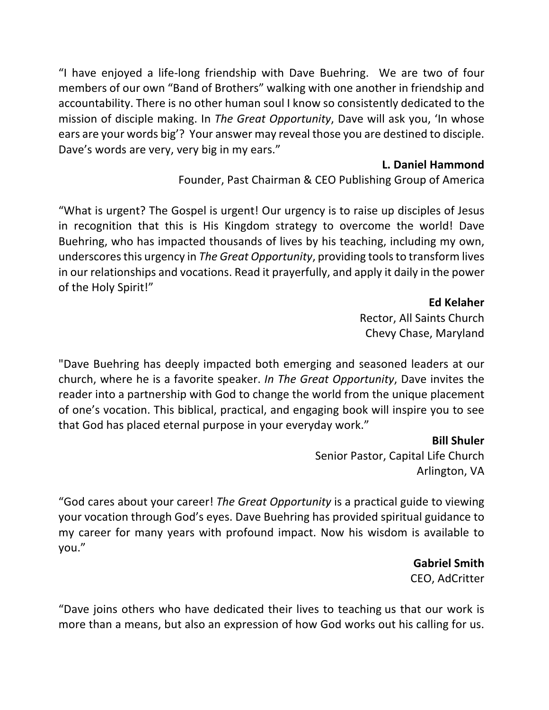"I have enjoyed a life-long friendship with Dave Buehring. We are two of four members of our own "Band of Brothers" walking with one another in friendship and accountability. There is no other human soul I know so consistently dedicated to the mission of disciple making. In *The Great Opportunity*, Dave will ask you, 'In whose ears are your words big'? Your answer may reveal those you are destined to disciple. Dave's words are very, very big in my ears."

## **L. Daniel Hammond**

Founder, Past Chairman & CEO Publishing Group of America

"What is urgent? The Gospel is urgent! Our urgency is to raise up disciples of Jesus in recognition that this is His Kingdom strategy to overcome the world! Dave Buehring, who has impacted thousands of lives by his teaching, including my own, underscores this urgency in *The Great Opportunity*, providing tools to transform lives in our relationships and vocations. Read it prayerfully, and apply it daily in the power of the Holy Spirit!"

## **Ed Kelaher**

Rector, All Saints Church Chevy Chase, Maryland

"Dave Buehring has deeply impacted both emerging and seasoned leaders at our church, where he is a favorite speaker. *In The Great Opportunity*, Dave invites the reader into a partnership with God to change the world from the unique placement of one's vocation. This biblical, practical, and engaging book will inspire you to see that God has placed eternal purpose in your everyday work."

#### **Bill Shuler**

Senior Pastor, Capital Life Church Arlington, VA

"God cares about your career! *The Great Opportunity* is a practical guide to viewing your vocation through God's eyes. Dave Buehring has provided spiritual guidance to my career for many years with profound impact. Now his wisdom is available to you."

> **Gabriel Smith** CEO, AdCritter

"Dave joins others who have dedicated their lives to teaching us that our work is more than a means, but also an expression of how God works out his calling for us.